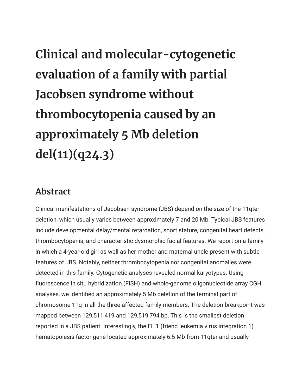**Clinical and molecular-cytogenetic evaluation of a family with partial Jacobsen syndrome without thrombocytopenia caused by an approximately 5 Mb deletion del(11)(q24.3)**

## **Abstract**

Clinical manifestations of Jacobsen syndrome (JBS) depend on the size of the 11qter deletion, which usually varies between approximately 7 and 20 Mb. Typical JBS features include developmental delay/mental retardation, short stature, congenital heart defects, thrombocytopenia, and characteristic dysmorphic facial features. We report on a family in which a 4-year-old girl as well as her mother and maternal uncle present with subtle features of JBS. Notably, neither thrombocytopenia nor congenital anomalies were detected in this family. Cytogenetic analyses revealed normal karyotypes. Using fluorescence in situ hybridization (FISH) and whole-genome oligonucleotide array CGH analyses, we identified an approximately 5 Mb deletion of the terminal part of chromosome 11q in all the three affected family members. The deletion breakpoint was mapped between 129,511,419 and 129,519,794 bp. This is the smallest deletion reported in a JBS patient. Interestingly, the FLI1 (friend leukemia virus integration 1) hematopoiesis factor gene located approximately 6.5 Mb from 11qter and usually